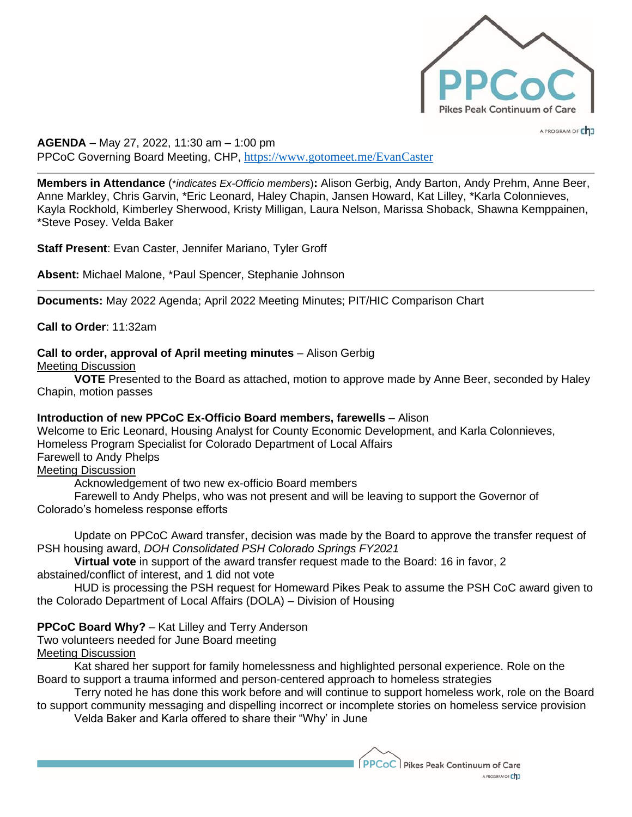

A PROGRAM OF CHO

# **AGENDA** – May 27, 2022, 11:30 am – 1:00 pm PPCoC Governing Board Meeting, CHP, <https://www.gotomeet.me/EvanCaster>

**Members in Attendance** (\**indicates Ex-Officio members*)**:** Alison Gerbig, Andy Barton, Andy Prehm, Anne Beer, Anne Markley, Chris Garvin, \*Eric Leonard, Haley Chapin, Jansen Howard, Kat Lilley, \*Karla Colonnieves, Kayla Rockhold, Kimberley Sherwood, Kristy Milligan, Laura Nelson, Marissa Shoback, Shawna Kemppainen, \*Steve Posey. Velda Baker

**Staff Present**: Evan Caster, Jennifer Mariano, Tyler Groff

**Absent:** Michael Malone, \*Paul Spencer, Stephanie Johnson

**Documents:** May 2022 Agenda; April 2022 Meeting Minutes; PIT/HIC Comparison Chart

# **Call to Order**: 11:32am

# **Call to order, approval of April meeting minutes** – Alison Gerbig

Meeting Discussion

**VOTE** Presented to the Board as attached, motion to approve made by Anne Beer, seconded by Haley Chapin, motion passes

### **Introduction of new PPCoC Ex-Officio Board members, farewells** – Alison

Welcome to Eric Leonard, Housing Analyst for County Economic Development, and Karla Colonnieves, Homeless Program Specialist for Colorado Department of Local Affairs Farewell to Andy Phelps Meeting Discussion

Acknowledgement of two new ex-officio Board members

Farewell to Andy Phelps, who was not present and will be leaving to support the Governor of Colorado's homeless response efforts

Update on PPCoC Award transfer, decision was made by the Board to approve the transfer request of PSH housing award, *DOH Consolidated PSH Colorado Springs FY2021*

**Virtual vote** in support of the award transfer request made to the Board: 16 in favor, 2 abstained/conflict of interest, and 1 did not vote

HUD is processing the PSH request for Homeward Pikes Peak to assume the PSH CoC award given to the Colorado Department of Local Affairs (DOLA) – Division of Housing

# **PPCoC Board Why?** – Kat Lilley and Terry Anderson

Two volunteers needed for June Board meeting

### Meeting Discussion

Kat shared her support for family homelessness and highlighted personal experience. Role on the Board to support a trauma informed and person-centered approach to homeless strategies

Terry noted he has done this work before and will continue to support homeless work, role on the Board to support community messaging and dispelling incorrect or incomplete stories on homeless service provision

Velda Baker and Karla offered to share their "Why' in June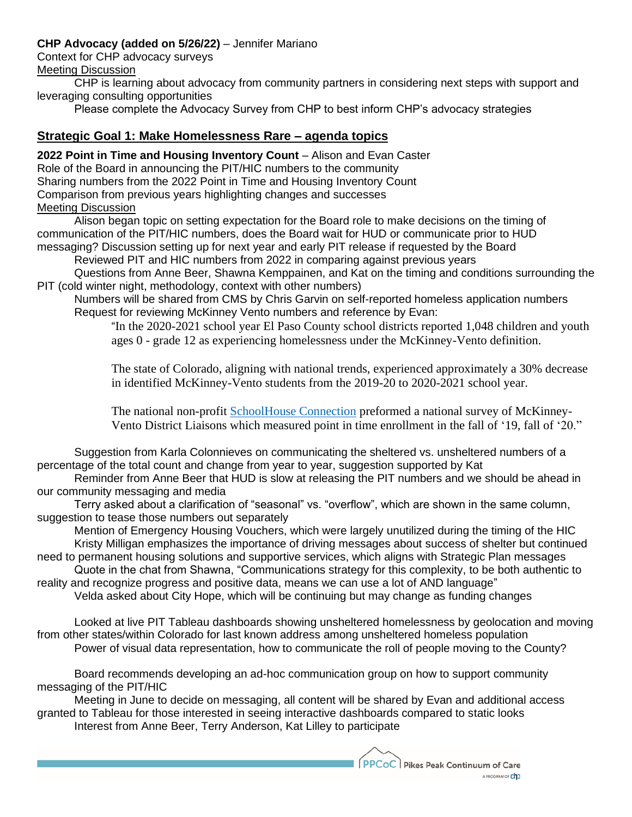# **CHP Advocacy (added on 5/26/22)** – Jennifer Mariano

Context for CHP advocacy surveys Meeting Discussion

CHP is learning about advocacy from community partners in considering next steps with support and leveraging consulting opportunities

Please complete the Advocacy Survey from CHP to best inform CHP's advocacy strategies

# **Strategic Goal 1: Make Homelessness Rare – agenda topics**

**2022 Point in Time and Housing Inventory Count** – Alison and Evan Caster Role of the Board in announcing the PIT/HIC numbers to the community Sharing numbers from the 2022 Point in Time and Housing Inventory Count Comparison from previous years highlighting changes and successes Meeting Discussion

Alison began topic on setting expectation for the Board role to make decisions on the timing of communication of the PIT/HIC numbers, does the Board wait for HUD or communicate prior to HUD messaging? Discussion setting up for next year and early PIT release if requested by the Board

Reviewed PIT and HIC numbers from 2022 in comparing against previous years

Questions from Anne Beer, Shawna Kemppainen, and Kat on the timing and conditions surrounding the PIT (cold winter night, methodology, context with other numbers)

Numbers will be shared from CMS by Chris Garvin on self-reported homeless application numbers Request for reviewing McKinney Vento numbers and reference by Evan:

"In the 2020-2021 school year El Paso County school districts reported 1,048 children and youth ages 0 - grade 12 as experiencing homelessness under the McKinney-Vento definition.

The state of Colorado, aligning with national trends, experienced approximately a 30% decrease in identified McKinney-Vento students from the 2019-20 to 2020-2021 school year.

The national non-profit [SchoolHouse Connection](https://schoolhouseconnection.org/lost-in-the-masked-shuffle-and-virtual-void/) preformed a national survey of McKinney-Vento District Liaisons which measured point in time enrollment in the fall of '19, fall of '20."

Suggestion from Karla Colonnieves on communicating the sheltered vs. unsheltered numbers of a percentage of the total count and change from year to year, suggestion supported by Kat

Reminder from Anne Beer that HUD is slow at releasing the PIT numbers and we should be ahead in our community messaging and media

Terry asked about a clarification of "seasonal" vs. "overflow", which are shown in the same column, suggestion to tease those numbers out separately

Mention of Emergency Housing Vouchers, which were largely unutilized during the timing of the HIC Kristy Milligan emphasizes the importance of driving messages about success of shelter but continued need to permanent housing solutions and supportive services, which aligns with Strategic Plan messages

Quote in the chat from Shawna, "Communications strategy for this complexity, to be both authentic to reality and recognize progress and positive data, means we can use a lot of AND language"

Velda asked about City Hope, which will be continuing but may change as funding changes

Looked at live PIT Tableau dashboards showing unsheltered homelessness by geolocation and moving from other states/within Colorado for last known address among unsheltered homeless population Power of visual data representation, how to communicate the roll of people moving to the County?

Board recommends developing an ad-hoc communication group on how to support community messaging of the PIT/HIC

Meeting in June to decide on messaging, all content will be shared by Evan and additional access granted to Tableau for those interested in seeing interactive dashboards compared to static looks Interest from Anne Beer, Terry Anderson, Kat Lilley to participate